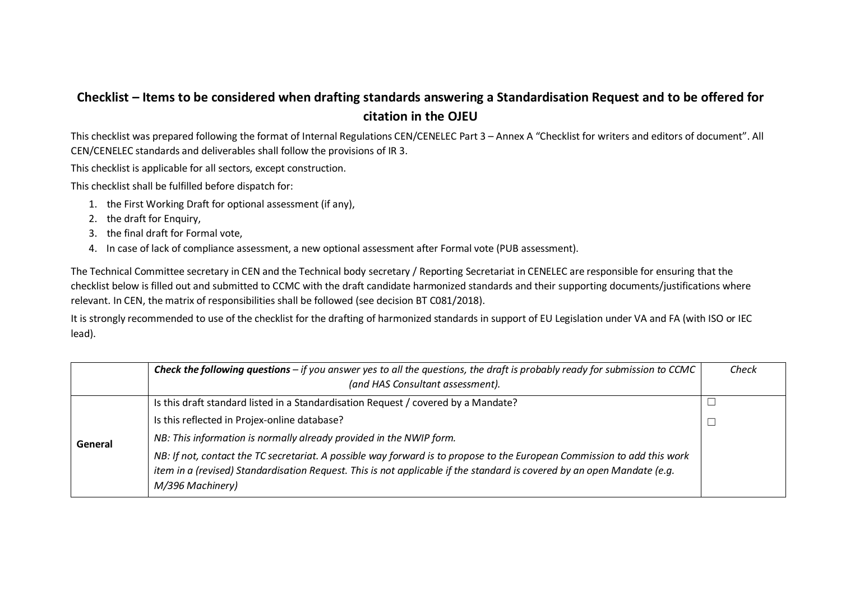## **Checklist – Items to be considered when drafting standards answering a Standardisation Request and to be offered for citation in the OJEU**

This checklist was prepared following the format of Internal Regulations CEN/CENELEC Part 3 – Annex A "Checklist for writers and editors of document". All CEN/CENELEC standards and deliverables shall follow the provisions of IR 3.

This checklist is applicable for all sectors, except construction.

This checklist shall be fulfilled before dispatch for:

- 1. the First Working Draft for optional assessment (if any),
- 2. the draft for Enquiry,
- 3. the final draft for Formal vote,
- 4. In case of lack of compliance assessment, a new optional assessment after Formal vote (PUB assessment).

The Technical Committee secretary in CEN and the Technical body secretary / Reporting Secretariat in CENELEC are responsible for ensuring that the checklist below is filled out and submitted to CCMC with the draft candidate harmonized standards and their supporting documents/justifications where relevant. In CEN, the matrix of responsibilities shall be followed (see decision BT C081/2018).

It is strongly recommended to use of the checklist for the drafting of harmonized standards in support of EU Legislation under VA and FA (with ISO or IEC lead).

|         | <b>Check the following questions</b> – if you answer yes to all the questions, the draft is probably ready for submission to CCMC<br>(and HAS Consultant assessment).                                                                                                   | Check |
|---------|-------------------------------------------------------------------------------------------------------------------------------------------------------------------------------------------------------------------------------------------------------------------------|-------|
| General | Is this draft standard listed in a Standardisation Request / covered by a Mandate?                                                                                                                                                                                      |       |
|         | Is this reflected in Projex-online database?                                                                                                                                                                                                                            |       |
|         | NB: This information is normally already provided in the NWIP form.                                                                                                                                                                                                     |       |
|         | NB: If not, contact the TC secretariat. A possible way forward is to propose to the European Commission to add this work<br>item in a (revised) Standardisation Request. This is not applicable if the standard is covered by an open Mandate (e.g.<br>M/396 Machinery) |       |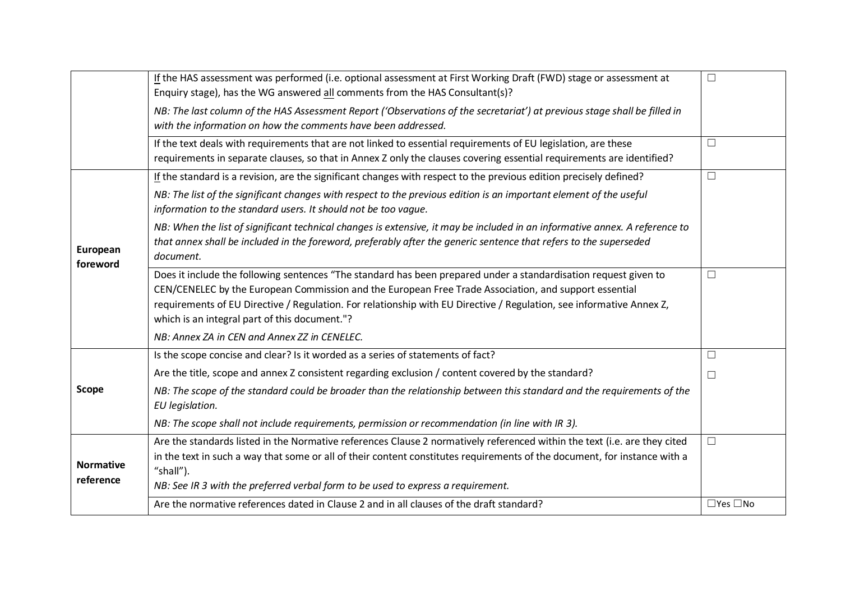|                               | If the HAS assessment was performed (i.e. optional assessment at First Working Draft (FWD) stage or assessment at<br>Enquiry stage), has the WG answered all comments from the HAS Consultant(s)?                                                                                                                                                                                                  |                      |
|-------------------------------|----------------------------------------------------------------------------------------------------------------------------------------------------------------------------------------------------------------------------------------------------------------------------------------------------------------------------------------------------------------------------------------------------|----------------------|
|                               | NB: The last column of the HAS Assessment Report ('Observations of the secretariat') at previous stage shall be filled in<br>with the information on how the comments have been addressed.                                                                                                                                                                                                         |                      |
|                               | If the text deals with requirements that are not linked to essential requirements of EU legislation, are these<br>requirements in separate clauses, so that in Annex Z only the clauses covering essential requirements are identified?                                                                                                                                                            | □                    |
|                               | If the standard is a revision, are the significant changes with respect to the previous edition precisely defined?                                                                                                                                                                                                                                                                                 | $\Box$               |
|                               | NB: The list of the significant changes with respect to the previous edition is an important element of the useful<br>information to the standard users. It should not be too vague.                                                                                                                                                                                                               |                      |
| European<br>foreword          | NB: When the list of significant technical changes is extensive, it may be included in an informative annex. A reference to<br>that annex shall be included in the foreword, preferably after the generic sentence that refers to the superseded<br>document.                                                                                                                                      |                      |
|                               | Does it include the following sentences "The standard has been prepared under a standardisation request given to<br>CEN/CENELEC by the European Commission and the European Free Trade Association, and support essential<br>requirements of EU Directive / Regulation. For relationship with EU Directive / Regulation, see informative Annex Z,<br>which is an integral part of this document."? | $\Box$               |
|                               | NB: Annex ZA in CEN and Annex ZZ in CENELEC.                                                                                                                                                                                                                                                                                                                                                       |                      |
|                               | Is the scope concise and clear? Is it worded as a series of statements of fact?                                                                                                                                                                                                                                                                                                                    | □                    |
|                               | Are the title, scope and annex Z consistent regarding exclusion / content covered by the standard?                                                                                                                                                                                                                                                                                                 | П                    |
| <b>Scope</b>                  | NB: The scope of the standard could be broader than the relationship between this standard and the requirements of the<br>EU legislation.                                                                                                                                                                                                                                                          |                      |
|                               | NB: The scope shall not include requirements, permission or recommendation (in line with IR 3).                                                                                                                                                                                                                                                                                                    |                      |
| <b>Normative</b><br>reference | Are the standards listed in the Normative references Clause 2 normatively referenced within the text (i.e. are they cited<br>in the text in such a way that some or all of their content constitutes requirements of the document, for instance with a<br>"shall").                                                                                                                                | $\Box$               |
|                               | NB: See IR 3 with the preferred verbal form to be used to express a requirement.<br>Are the normative references dated in Clause 2 and in all clauses of the draft standard?                                                                                                                                                                                                                       | $\Box$ Yes $\Box$ No |
|                               |                                                                                                                                                                                                                                                                                                                                                                                                    |                      |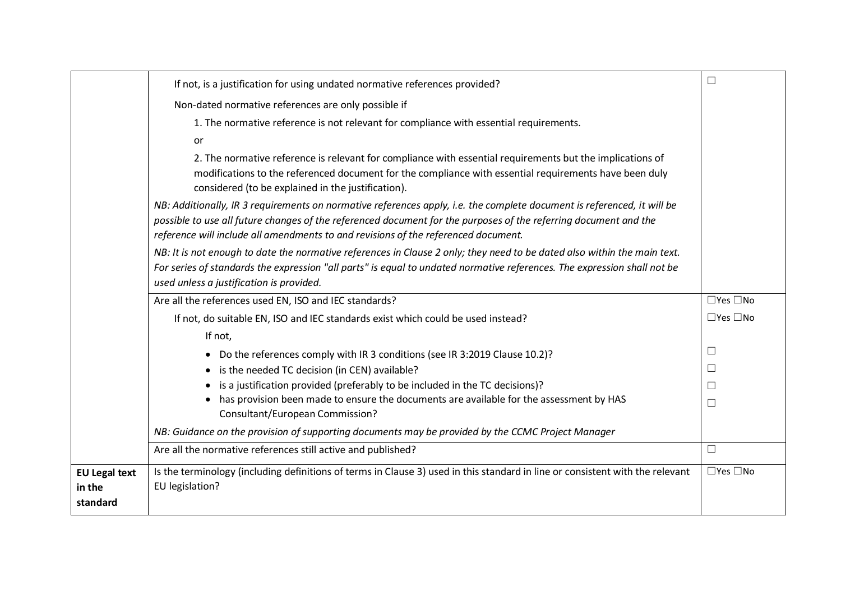|                                            | If not, is a justification for using undated normative references provided?                                                                                                                            | $\Box$               |
|--------------------------------------------|--------------------------------------------------------------------------------------------------------------------------------------------------------------------------------------------------------|----------------------|
|                                            | Non-dated normative references are only possible if                                                                                                                                                    |                      |
|                                            | 1. The normative reference is not relevant for compliance with essential requirements.                                                                                                                 |                      |
|                                            | or                                                                                                                                                                                                     |                      |
|                                            | 2. The normative reference is relevant for compliance with essential requirements but the implications of                                                                                              |                      |
|                                            | modifications to the referenced document for the compliance with essential requirements have been duly<br>considered (to be explained in the justification).                                           |                      |
|                                            | NB: Additionally, IR 3 requirements on normative references apply, i.e. the complete document is referenced, it will be                                                                                |                      |
|                                            | possible to use all future changes of the referenced document for the purposes of the referring document and the<br>reference will include all amendments to and revisions of the referenced document. |                      |
|                                            | NB: It is not enough to date the normative references in Clause 2 only; they need to be dated also within the main text.                                                                               |                      |
|                                            | For series of standards the expression "all parts" is equal to undated normative references. The expression shall not be                                                                               |                      |
|                                            | used unless a justification is provided.                                                                                                                                                               |                      |
|                                            | Are all the references used EN, ISO and IEC standards?                                                                                                                                                 | $\Box$ Yes $\Box$ No |
|                                            | If not, do suitable EN, ISO and IEC standards exist which could be used instead?                                                                                                                       | $\Box$ Yes $\Box$ No |
|                                            | If not,                                                                                                                                                                                                |                      |
|                                            | • Do the references comply with IR 3 conditions (see IR 3:2019 Clause 10.2)?                                                                                                                           | $\Box$               |
|                                            | • is the needed TC decision (in CEN) available?                                                                                                                                                        | □                    |
|                                            | • is a justification provided (preferably to be included in the TC decisions)?                                                                                                                         | $\Box$               |
|                                            | has provision been made to ensure the documents are available for the assessment by HAS<br>Consultant/European Commission?                                                                             | $\Box$               |
|                                            | NB: Guidance on the provision of supporting documents may be provided by the CCMC Project Manager                                                                                                      |                      |
|                                            | Are all the normative references still active and published?                                                                                                                                           | $\Box$               |
| <b>EU Legal text</b><br>in the<br>standard | Is the terminology (including definitions of terms in Clause 3) used in this standard in line or consistent with the relevant<br>EU legislation?                                                       | $\Box$ Yes $\Box$ No |
|                                            |                                                                                                                                                                                                        |                      |